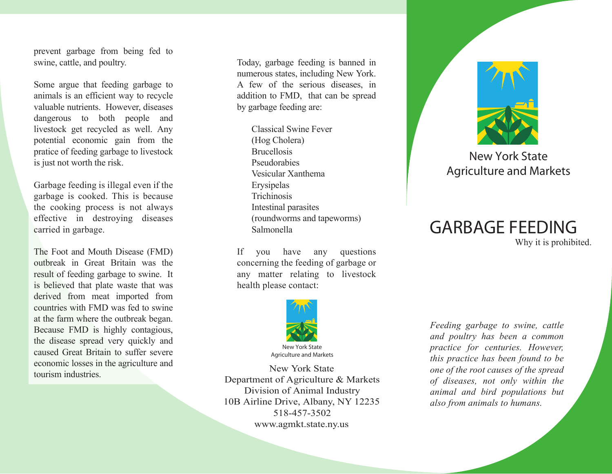prevent garbage from being fed to swine, cattle, and poultry.

Some argue that feeding garbage to animals is an efficient way to recycle valuable nutrients. However, diseases dangerous to both people and livestock get recycled as well. Any potential economic gain from the pratice of feeding garbage to livestock is just not worth the risk.

Garbage feeding is illegal even if the garbage is cooked. This is because the cooking process is not always effective in destroying diseases carried in garbage.

The Foot and Mouth Disease (FMD) outbreak in Great Britain was the result of feeding garbage to swine. It is believed that plate waste that was derived from meat imported from countries with FMD was fed to swine at the farm where the outbreak began. Because FMD is highly contagious, the disease spread very quickly and caused Great Britain to suffer severe economic losses in the agriculture and tourism industries.

Today, garbage feeding is banned in numerous states, including New York. A few of the serious diseases, in addition to FMD, that can be spread by garbage feeding are:

> Classical Swine Fever (Hog Cholera) **Brucellosis**  Pseudorabies Vesicular Xanthema Erysipelas **Trichinosis**  Intestinal parasites (roundworms and tapeworms) Salmonella

If you have any questions concerning the feeding of garbage or any matter relating to livestock health please contact:



New York State Department of Agriculture & Markets Division of Animal Industry 10B Airline Drive, Albany, NY 12235 518-457-3502 www.agmkt.state.ny.us



## New York State Agriculture and Markets

## **GARBAGE FEEDING** Why it is prohibited.

*Feeding garbage to swine, cattle and poultry has been a common practice for centuries. However, this practice has been found to be one of the root causes of the spread of diseases, not only within the animal and bird populations but also from animals to humans.*